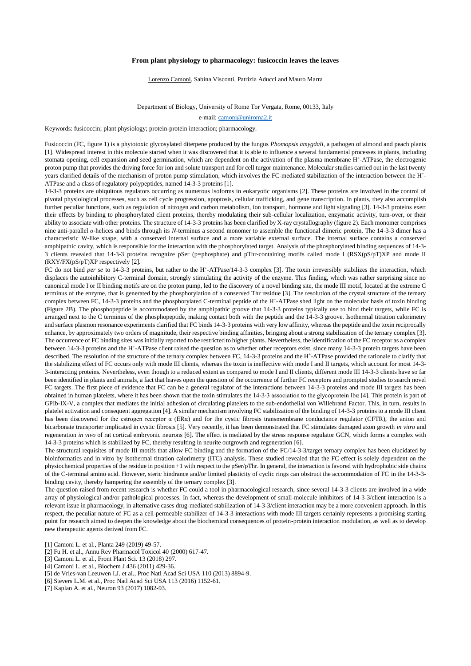## **From plant physiology to pharmacology: fusicoccin leaves the leaves**

Lorenzo Camoni, Sabina Visconti, Patrizia Aducci and Mauro Marra

Department of Biology, University of Rome Tor Vergata, Rome, 00133, Italy

e-mail: [camoni@uniroma2.it](mailto:camoni@uniroma2.it)

Keywords: fusicoccin; plant physiology; protein-protein interaction; pharmacology.

Fusicoccin (FC, figure 1) is a phytotoxic glycosylated diterpene produced by the fungus *Phomopsis amygdali*, a pathogen of almond and peach plants [1]. Widespread interest in this molecule started when it was discovered that it is able to influence a several fundamental processes in plants, including stomata opening, cell expansion and seed germination, which are dependent on the activation of the plasma membrane H<sup>+</sup>-ATPase, the electrogenic proton pump that provides the driving force for ion and solute transport and for cell turgor maintenance. Molecular studies carried out in the last twenty years clarified details of the mechanism of proton pump stimulation, which involves the FC-mediated stabilization of the interaction between the H<sup>+</sup> - ATPase and a class of regulatory polypeptides, named 14-3-3 proteins [1].

14-3-3 proteins are ubiquitous regulators occurring as numerous isoforms in eukaryotic organisms [2]. These proteins are involved in the control of pivotal physiological processes, such as cell cycle progression, apoptosis, cellular trafficking, and gene transcription. In plants, they also accomplish further peculiar functions, such as regulation of nitrogen and carbon metabolism, ion transport, hormone and light signaling [3]. 14-3-3 proteins exert their effects by binding to phosphorylated client proteins, thereby modulating their sub-cellular localization, enzymatic activity, turn-over, or their ability to associate with other proteins. The structure of 14-3-3 proteins has been clarified by X-ray crystallography (figure 2). Each monomer comprises nine anti-parallel *α*-helices and binds through its *N*-terminus a second monomer to assemble the functional dimeric protein. The 14-3-3 dimer has a characteristic W-like shape, with a conserved internal surface and a more variable external surface. The internal surface contains a conserved amphipathic cavity, which is responsible for the interaction with the phosphorylated target. Analysis of the phosphorylated binding sequences of 14-3- 3 clients revealed that 14-3-3 proteins recognize pSer (p=phosphate) and pThr-containing motifs called mode I (RSX(pS/pT)XP and mode II (RXY/FX(pS/pT)XP respectively [2].

FC do not bind *per se* to 14-3-3 proteins, but rather to the H<sup>+</sup>-ATPase/14-3-3 complex [3]. The toxin irreversibly stabilizes the interaction, which displaces the autoinhibitory C-terminal domain, strongly stimulating the activity of the enzyme. This finding, which was rather surprising since no canonical mode I or II binding motifs are on the proton pump, led to the discovery of a novel binding site, the mode III motif, located at the extreme C terminus of the enzyme, that is generated by the phosphorylation of a conserved Thr residue [3]. The resolution of the crystal structure of the ternary complex between FC, 14-3-3 proteins and the phosphorylated C-terminal peptide of the H<sup>+</sup>-ATPase shed light on the molecular basis of toxin binding (Figure 2B). The phosphopeptide is accommodated by the amphipathic groove that 14-3-3 proteins typically use to bind their targets, while FC is arranged next to the C terminus of the phosphopeptide, making contact both with the peptide and the 14-3-3 groove. Isothermal titration calorimetry and surface plasmon resonance experiments clarified that FC binds 14-3-3 proteins with very low affinity, whereas the peptide and the toxin reciprocally enhance, by approximately two orders of magnitude, their respective binding affinities, bringing about a strong stabilization of the ternary complex [3]. The occurrence of FC binding sites was initially reported to be restricted to higher plants. Nevertheless, the identification of the FC receptor as a complex between 14-3-3 proteins and the H<sup>+</sup>-ATPase client raised the question as to whether other receptors exist, since many 14-3-3 protein targets have been described. The resolution of the structure of the ternary complex between FC, 14-3-3 proteins and the H<sup>+</sup>-ATPase provided the rationale to clarify that the stabilizing effect of FC occurs only with mode III clients, whereas the toxin is ineffective with mode I and II targets, which account for most 14-3- 3-interacting proteins. Nevertheless, even though to a reduced extent as compared to mode I and II clients, different mode III 14-3-3 clients have so far been identified in plants and animals, a fact that leaves open the question of the occurrence of further FC receptors and prompted studies to search novel FC targets. The first piece of evidence that FC can be a general regulator of the interactions between 14-3-3 proteins and mode III targets has been obtained in human platelets, where it has been shown that the toxin stimulates the 14-3-3 association to the glycoprotein Ibα [4]. This protein is part of GPIb-IX-V, a complex that mediates the initial adhesion of circulating platelets to the sub-endothelial von Willebrand Factor. This, in turn, results in platelet activation and consequent aggregation [4]. A similar mechanism involving FC stabilization of the binding of 14-3-3 proteins to a mode III client has been discovered for the estrogen receptor α (ERα) and for the cystic fibrosis transmembrane conductance regulator (CFTR), the anion and bicarbonate transporter implicated in cystic fibrosis [5]. Very recently, it has been demonstrated that FC stimulates damaged axon growth *in vitro* and regeneration *in vivo* of rat cortical embryonic neurons [6]. The effect is mediated by the stress response regulator GCN, which forms a complex with 14-3-3 proteins which is stabilized by FC, thereby resulting in neurite outgrowth and regeneration [6].

The structural requisites of mode III motifs that allow FC binding and the formation of the FC/14-3-3/target ternary complex has been elucidated by bioinformatics and in vitro by Isothermal titration calorimetry (ITC) analysis. These studied revealed that the FC effect is solely dependent on the physiochemical properties of the residue in position +1 with respect to the pSer/pThr. In general, the interaction is favored with hydrophobic side chains of the C-terminal amino acid. However, steric hindrance and/or limited plasticity of cyclic rings can obstruct the accommodation of FC in the 14-3-3 binding cavity, thereby hampering the assembly of the ternary complex [3].

The question raised from recent research is whether FC could a tool in pharmacological research, since several 14-3-3 clients are involved in a wide array of physiological and/or pathological processes. In fact, whereas the development of small-molecule inhibitors of 14-3-3/client interaction is a relevant issue in pharmacology, in alternative cases drug-mediated stabilization of 14-3-3/client interaction may be a more convenient approach. In this respect, the peculiar nature of FC as a cell-permeable stabilizer of 14-3-3 interactions with mode III targets certainly represents a promising starting point for research aimed to deepen the knowledge about the biochemical consequences of protein-protein interaction modulation, as well as to develop new therapeutic agents derived from FC.

- [1] Camoni L. et al., Planta 249 (2019) 49-57.
- [2] Fu H. et al., Annu Rev Pharmacol Toxicol 40 (2000) 617-47.
- [3] Camoni L. et al., Front Plant Sci. 13 (2018) 297.
- [4] Camoni L. et al., Biochem J 436 (2011) 429-36.
- [5] de Vries-van Leeuwen I.J. et al., Proc Natl Acad Sci USA 110 (2013) 8894-9.
- [6] Stevers L.M. et al., Proc Natl Acad Sci USA 113 (2016) 1152-61.
- [7] Kaplan A. et al., Neuron 93 (2017) 1082-93.